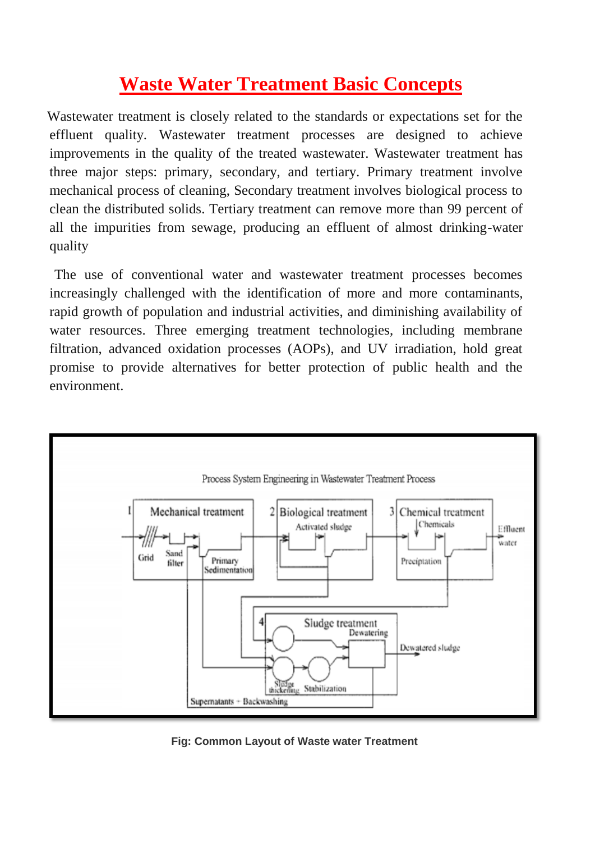## **Waste Water Treatment Basic Concepts**

Wastewater treatment is closely related to the standards or expectations set for the effluent quality. Wastewater treatment processes are designed to achieve improvements in the quality of the treated wastewater. Wastewater treatment has three major steps: primary, secondary, and tertiary. Primary treatment involve mechanical process of cleaning, Secondary treatment involves biological process to clean the distributed solids. Tertiary treatment can remove more than 99 percent of all the impurities from sewage, producing an effluent of almost drinking-water quality

 The use of conventional water and wastewater treatment processes becomes increasingly challenged with the identification of more and more contaminants, rapid growth of population and industrial activities, and diminishing availability of water resources. Three emerging treatment technologies, including membrane filtration, advanced oxidation processes (AOPs), and UV irradiation, hold great promise to provide alternatives for better protection of public health and the environment.



 **Fig: Common Layout of Waste water Treatment**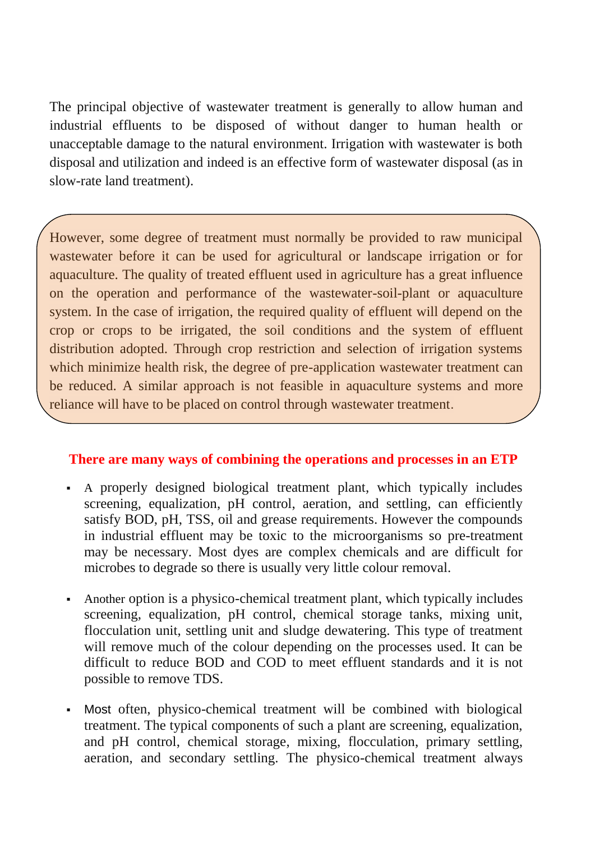The principal objective of wastewater treatment is generally to allow human and industrial effluents to be disposed of without danger to human health or unacceptable damage to the natural environment. Irrigation with wastewater is both disposal and utilization and indeed is an effective form of wastewater disposal (as in slow-rate land treatment).

However, some degree of treatment must normally be provided to raw municipal wastewater before it can be used for agricultural or landscape irrigation or for aquaculture. The quality of treated effluent used in agriculture has a great influence on the operation and performance of the wastewater-soil-plant or aquaculture system. In the case of irrigation, the required quality of effluent will depend on the crop or crops to be irrigated, the soil conditions and the system of effluent distribution adopted. Through crop restriction and selection of irrigation systems which minimize health risk, the degree of pre-application wastewater treatment can be reduced. A similar approach is not feasible in aquaculture systems and more reliance will have to be placed on control through wastewater treatment.

## **There are many ways of combining the operations and processes in an ETP**

- A properly designed biological treatment plant, which typically includes screening, equalization, pH control, aeration, and settling, can efficiently satisfy BOD, pH, TSS, oil and grease requirements. However the compounds in industrial effluent may be toxic to the microorganisms so pre-treatment may be necessary. Most dyes are complex chemicals and are difficult for microbes to degrade so there is usually very little colour removal.
- Another option is a physico-chemical treatment plant, which typically includes screening, equalization, pH control, chemical storage tanks, mixing unit, flocculation unit, settling unit and sludge dewatering. This type of treatment will remove much of the colour depending on the processes used. It can be difficult to reduce BOD and COD to meet effluent standards and it is not possible to remove TDS.
- Most often, physico-chemical treatment will be combined with biological treatment. The typical components of such a plant are screening, equalization, and pH control, chemical storage, mixing, flocculation, primary settling, aeration, and secondary settling. The physico-chemical treatment always